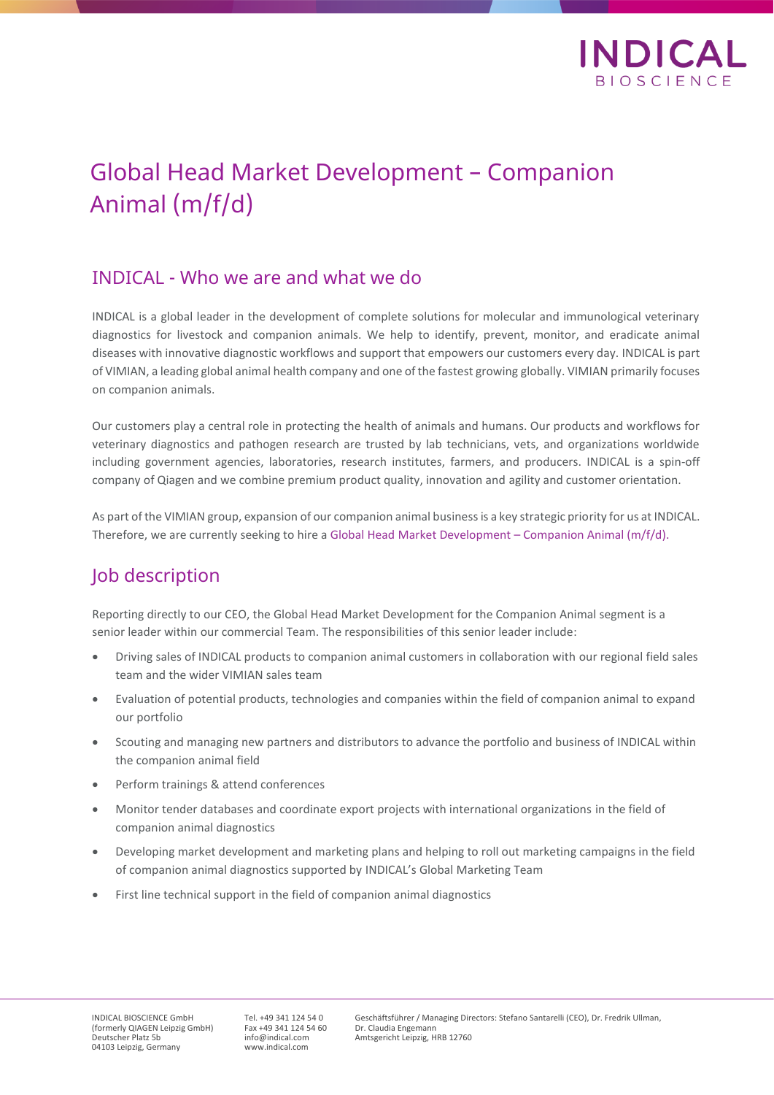

# Global Head Market Development – Companion Animal (m/f/d)

#### INDICAL - Who we are and what we do

INDICAL is a global leader in the development of complete solutions for molecular and immunological veterinary diagnostics for livestock and companion animals. We help to identify, prevent, monitor, and eradicate animal diseases with innovative diagnostic workflows and support that empowers our customers every day. INDICAL is part of VIMIAN, a leading global animal health company and one of the fastest growing globally. VIMIAN primarily focuses on companion animals.

Our customers play a central role in protecting the health of animals and humans. Our products and workflows for veterinary diagnostics and pathogen research are trusted by lab technicians, vets, and organizations worldwide including government agencies, laboratories, research institutes, farmers, and producers. INDICAL is a spin-off company of Qiagen and we combine premium product quality, innovation and agility and customer orientation.

As part of the VIMIAN group, expansion of our companion animal business is a key strategic priority for us at INDICAL. Therefore, we are currently seeking to hire a Global Head Market Development – Companion Animal (m/f/d).

## Job description

Reporting directly to our CEO, the Global Head Market Development for the Companion Animal segment is a senior leader within our commercial Team. The responsibilities of this senior leader include:

- Driving sales of INDICAL products to companion animal customers in collaboration with our regional field sales team and the wider VIMIAN sales team
- Evaluation of potential products, technologies and companies within the field of companion animal to expand our portfolio
- Scouting and managing new partners and distributors to advance the portfolio and business of INDICAL within the companion animal field
- Perform trainings & attend conferences
- Monitor tender databases and coordinate export projects with international organizations in the field of companion animal diagnostics
- Developing market development and marketing plans and helping to roll out marketing campaigns in the field of companion animal diagnostics supported by INDICAL's Global Marketing Team
- First line technical support in the field of companion animal diagnostics